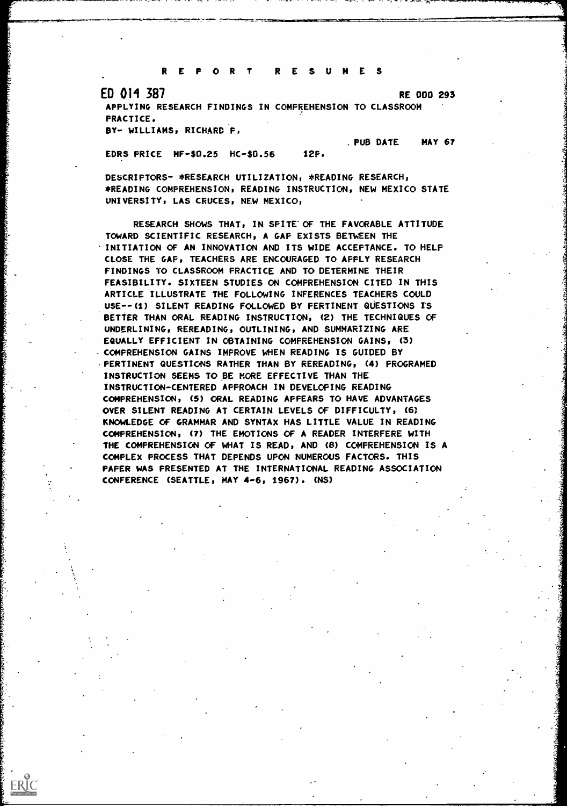REPORT RESUMES

ED 014 387 RE 000 293

APPLYING RESEARCH FINDINGS IN COMPREHENSION TO CLASSROOM PRACTICE.

BY- WILLIAMS, RICHARD F1

. PUB DATE MAY 67

EDRS PRICE MF-\$0.25 HC-\$0.56 12P.

DESCRIPTORS- \*RESEARCH UTILIZATION, \*READING RESEARCH, \*READING COMPREHENSION, READING INSTRUCTION, NEW MEXICO STATE UNIVERSITY, LAS CRUCES, NEW MEXICO,

RESEARCH SHOWS THAT, IN SPITE' OF THE FAVORABLE ATTITUDE TOWARD SCIENTIFIC RESEARCH, A GAP EXISTS BETWEEN THE INITIATION OF AN INNOVATION AND ITS WIDE ACCEPTANCE. TO HELP CLOSE THE GAP, TEACHERS ARE ENCOURAGED TO APPLY RESEARCH FINDINGS TO CLASSROOM PRACTICE AND TO DETERMINE THEIR FEASIBILITY. SIXTEEN STUDIES ON COMPREHENSION CITED IN THIS ARTICLE ILLUSTRATE THE FOLLOWING INFERENCES TEACHERS COULD USE--(1) SILENT READING FOLLOWED BY PERTINENT QUESTIONS IS BETTER THAN ORAL READING INSTRUCTION, (2) THE TECHNIQUES OF UNDERLINING, REREADING, OUTLINING, AND SUMMARIZING ARE EQUALLY EFFICIENT IN OBTAINING COMPREHENSION GAINS, (3) -COMPREHENSION GAINS IMPROVE WHEN READING IS GUIDED BY PERTINENT QUESTIONS RATHER THAN BY REREADING, (4) PROGRAMED INSTRUCTION SEEMS TO BE MORE EFFECTIVE THAN THE INSTRUCTION-CENTERED APPROACH IN DEVELOPING READING COMPREHENSION, (5) ORAL READING APPEARS TO HAVE ADVANTAGES OVER SILENT READING AT CERTAIN LEVELS OF DIFFICULTY, (6) KNOWLEDGE OF GRAMMAR AND SYNTAX HAS LITTLE VALUE IN READING COMPREHENSION, (7) THE EMOTIONS OF A READER INTERFERE WITH THE COMPREHENSION OF WHAT IS READ, AND (8) COMPREHENSION IS A COMPLEX PROCESS THAT DEPENDS UPON NUMEROUS FACTORS. THIS PAPER WAS PRESENTED AT THE INTERNATIONAL READING ASSOCIATION CONFERENCE (SEATTLE, MAY 4 -6, 1967). (NS)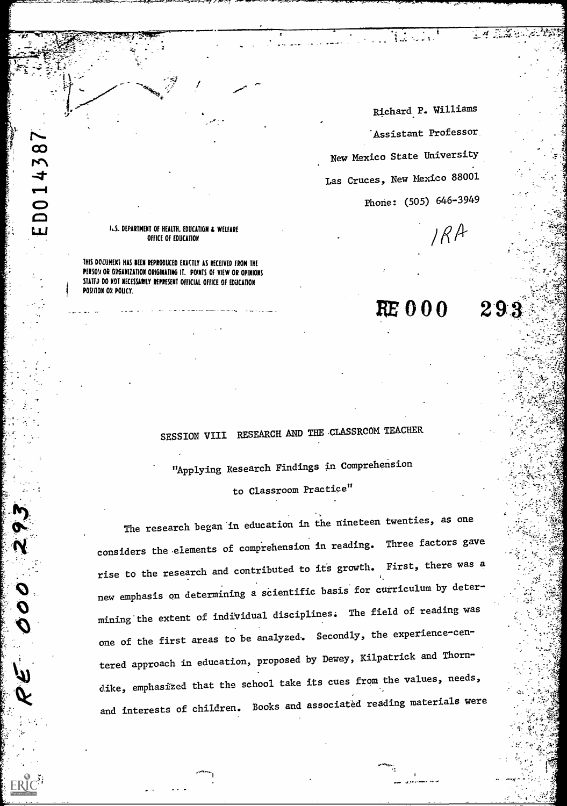Richard P. Williams Assistant Professor New Mexico State University Las Cruces, New Mexico 88001 Phone: (505) 646-3949

 $RE 000 293$ 

 $IRA$ 

 $\mathbb{R}^{M\times N}$ 

-7.

 $\epsilon \in \mathbb{C}$ 

: -

 $\cdot$  ,  $\cdot$  ,  $\cdot$  ,  $\cdot$  ,  $\cdot$  ,  $\cdot$  ,  $\cdot$  ,  $\cdot$  ,  $\cdot$  ,  $\cdot$  ,  $\cdot$  ,  $\cdot$  ,  $\cdot$  ,  $\cdot$  ,  $\cdot$  ,  $\cdot$  ,  $\cdot$  ,  $\cdot$  ,  $\cdot$  ,  $\cdot$  ,  $\cdot$  ,  $\cdot$  ,  $\cdot$  ,  $\cdot$  ,  $\cdot$  ,  $\cdot$  ,  $\cdot$  ,  $\cdot$  ,  $\cdot$  ,  $\cdot$  ,  $\cdot$  ,  $\cdot$ 

#### U. DEPARTMENT OF HEALTH, EDUCATION & WELFARE OFFICE OF EDUCATION

THIS DOCUMEKS HAS SEEN REPRODUCED EXACTLY AS RECEIVED FROM THE PERSO!I OR GYGANIZATION ORIGINATING IT. POINTS OF VIEW OR OPINIONS STATED DO NOT NECESSARILY REPRESENT OFFICIAL OFFICE OF EDUCATION POSINON OR POLICY.

# SESSION VIII RESEARCH AND THE .CLASSRCOM TEACHER

"Applying Research Findings in Comprehension to Classroom Practice"

The research began in education in the nineteen twenties, as one considers the-elements of comprehension in reading. Three factors gave rise to the research and contributed to its growth. First, there was a new emphasis on determining a scientific basis for curriculum by determining the extent of individual disciplines. The field of reading was one of the first areas to be analyzed. Secondly, the experience-centered approach in education, proposed by Dewey, Kilpatrick and Thorndike, emphasized that the school take its cues from the values, needs, and interests of children. Books and associated reading materials were

#

1r I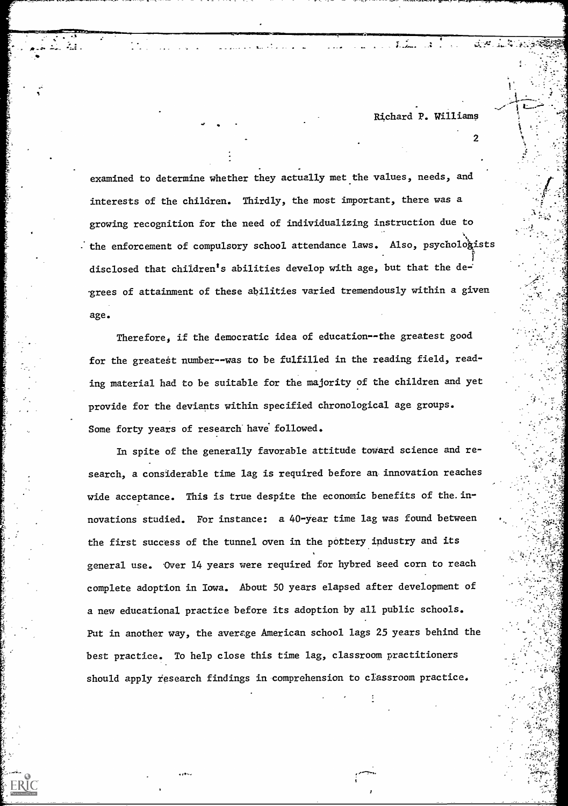- "୩  $\times$ ଅଁ $\times$ "

2

-

examined to determine whether they actually met the values, needs, and interests of the children. Thirdly, the most important, there was a growing recognition for the need of individualizing instruction due to  $\cdot$  the enforcement of compulsory school attendance laws. Also, psychologists disclosed that children's abilities develop with age, but that the de--grees of attainment of these abilities varied tremendously within a given age.

Thereforej if the democratic idea of education--the greatest good for the greatest number--was to be fulfilled in the reading field, reading material had to be suitable for the majority of the children and yet provide for the deviants within specified chronological age groups. Some forty years of research have followed.

In spite of the generally favorable attitude toward science and research, a considerable time lag is required before an innovation reaches wide acceptance. This is true despite the economic benefits of the innovations studied. For instance: a 40-year time lag was found between the first success of the tunnel oven in the pottery industry and its general use. Over 14 years were required for hybred 'seed corn to reach complete adoption in Iowa. About 50 years elapsed after development of a new educational practice before its adoption by all public schools. Put in another way, the average American school lags 25 years behind the best practice. To help close this time lag, classroom practitioners should apply research findings in comprehension to classroom practice.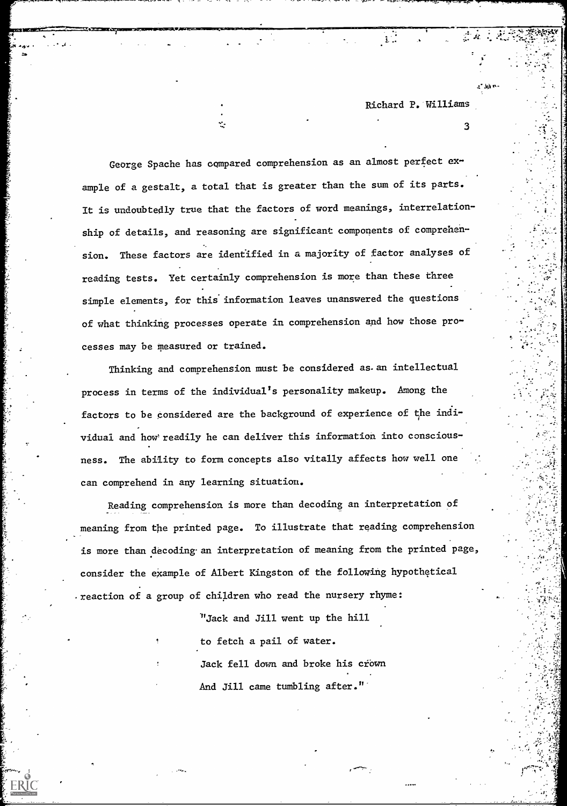- M1

3

George Spache has compared comprehension as an almost perfect example of a gestalt, a total that is greater than the sum of its parts. It is undoubtedly true that the factors of word meanings, interrelationship of details, and reasoning are significant components of comprehension. These factors are identified in a majority of factor analyses of reading tests. Yet certainly comprehension is more than these three simple elements, for this information leaves unanswered the questions of what thinking processes operate in comprehension and how those processes may be measured or trained.

Thinking and comprehension must be considered as an intellectual process in terms of the individual's personality makeup. Among the factors to be considered are the background of experience of the individual and how readily he can deliver this information into consciousness. The ability to form concepts also vitally affects how well one can comprehend in any learning situation.

Reading comprehension is more than decoding an interpretation of meaning from the printed page. To illustrate that reading comprehension is more than decoding an interpretation of meaning from the printed page, consider the example of Albert Kingston of the following hypothetical reaction of a group of children who read the nursery rhyme:

> "Jack and Jill went up the hill to fetch a pail of water. Jack fell down and broke his crown And Jill came tumbling after."'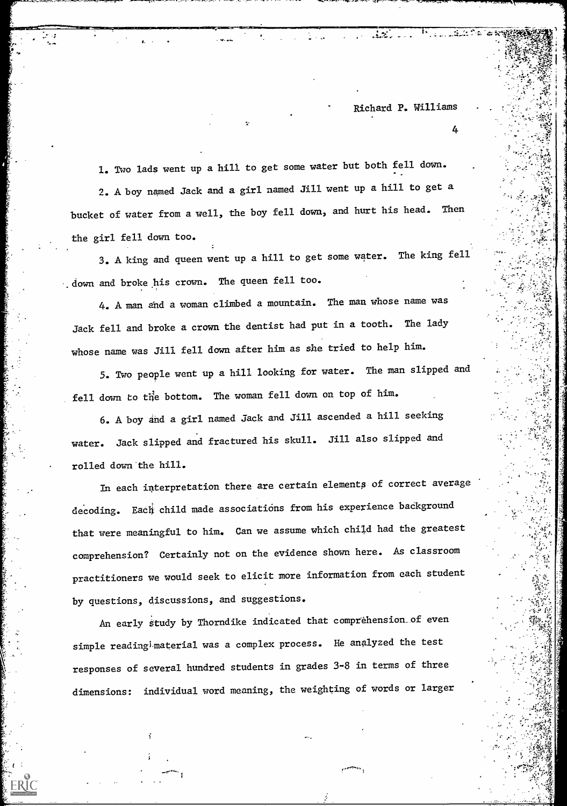$4 - 4 - 4 = 1$ 

العائلية وورودا والأفار

4

.

72.X I

÷ pre

 $4$  ; in the set of  $\{1,2,3,4\}$ 

- . 44.

1. Two lads went up a hill to get some water but both fell down. 2. A boy named Jack and a girl named Jill went up a hill to get a bucket of water from a well, the boy fell down, and hurt his head. Then the girl fell down too.

-1-

3. A king and queen went up a hill to get some water. The king fell . down and broke -his crown. The queen fell too.

4. A man and a woman climbed a mountain. The man whose name was Jack fell and broke a crown the dentist had put in a tooth. The lady whose name was Jill fell down after him as she tried to help him.

5. Two people went up a hill looking for water. The man slipped and fell down to the bottom. The woman fell down on top of him.

6. A boy and a girl named Jack and Jill ascended a hill seeking water. Jack slipped and fractured his skull. Jill also slipped and rolled down the hill.

In each interpretation there are certain elements of correct average decoding. Each child made associations from his experience background that were meaningful to him. Can we assume which child had the greatest comprehension? Certainly not on the evidence shown here. As classroom practitioners we would seek to elicit more information from each student by questions, discussions, and suggestions.

An early study by Thorndike indicated that comptehension\_of even simple reading<sup>i</sup> material was a complex process. He analyzed the test responses of several hundred students in grades 3-8 in terms of three dimensions: individual word meaning, the weighting of words or larger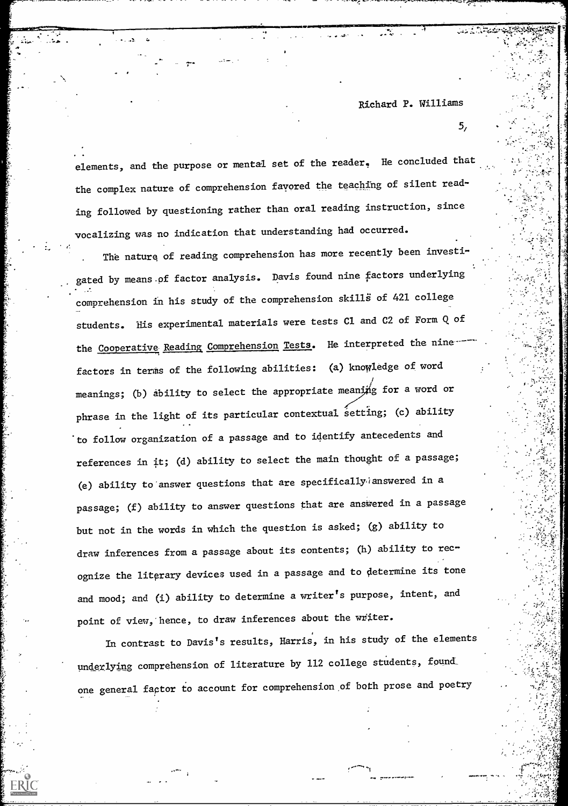elements, and the purpose or mental set of the reader. He concluded that the complex nature of comprehension favored the teaching of silent reading followed by questioning rather than oral reading instruction, since vocalizing was no indication that understanding had occurred.

The nature of reading comprehension has more recently been investigated by means.of factor analysis. Davis found nine factors underlying comprehension in his study of the comprehension skills of 421 college students. His experimental materials were tests Cl and C2 of Form Q. of the Cooperative Reading Comprehension Tests. He interpreted the ninefactors in terms of the following abilities: (a) knowledge of word meanings; (b) ability to select the appropriate meaning for a word or phrase in the light of its particular contextual setting; (c) ability to follow organization of a passage and to identify antecedents and references in it; (d) ability to select the main thought of a passage; (e) ability to answer questions that are specifically answered in a passage; (f) ability to answer questions that are answered in a passage but not in the words in which the question is asked; (g) ability to draw inferences from a passage about its contents; (h) ability to recognize the literary devices used in a passage and to determine its tone and mood; and (i) ability to determine a writer's purpose, intent, and point of view, hence, to draw inferences about the writer.

In contrast to Davis's results, Harris, in his study of the elements underlying comprehension of literature by 112 college students, found\_ one general factor to account for comprehension of both prose and poetry

0, ,

5,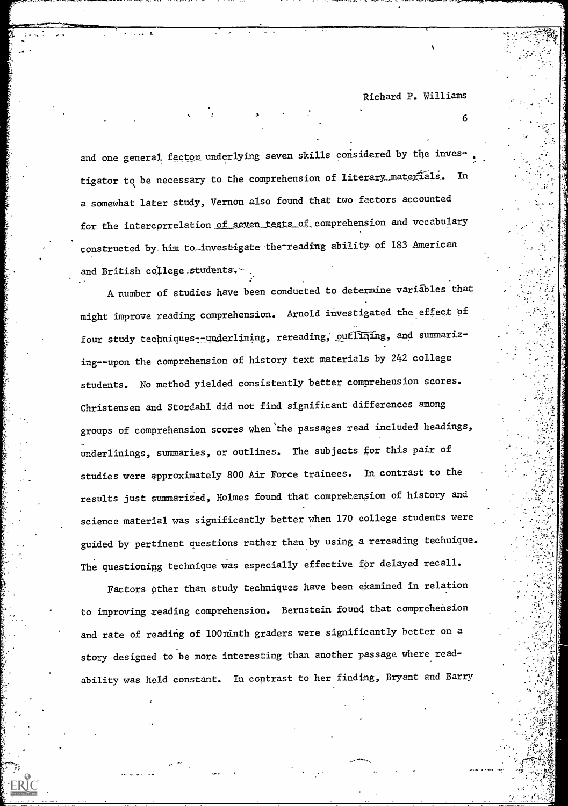$\mathbf b$ 

 $\pm 2\frac{1}{2}$ 

I.

and one general factor underlying seven skills considered by the investigator to be necessary to the comprehension of literary\_materials. In a somewhat later study, Vernon also found that two factors accounted for the intercorrelation of seven tests of comprehension and vocabulary constructed by him to-investigate-the-reading ability of 183 American and British college,students.

A number of studies have been conducted to determine variables that might improve reading comprehension. Arnold investigated the effect of four study techniques--underlining, rereading, outlining, and summarizing--upon the comprehension of history text materials by 242 college students. No method yielded consistently better comprehension scores. Christensen and Stordahl did not find significant differences among groups of comprehension scores when the passages read included headings, underlinings, summaries, or outlines. The subjects for this pair of studies were approximately 800 Air Force trainees. In contrast to the results just summarized, Holmes found that comprehension of history and science material was significantly better when 170 college students were guided by pertinent questions rather than by using a rereading technique. The questioning technique was especially effective for delayed recall.

Factors other than study techniques have been examined in relation to improving reading comprehension. Bernstein found that comprehension and rate of reading of l00 ninth graders were significantly better on a story designed to be more interesting than another passage where readability was held constant. In contrast to her finding, Bryant and Barry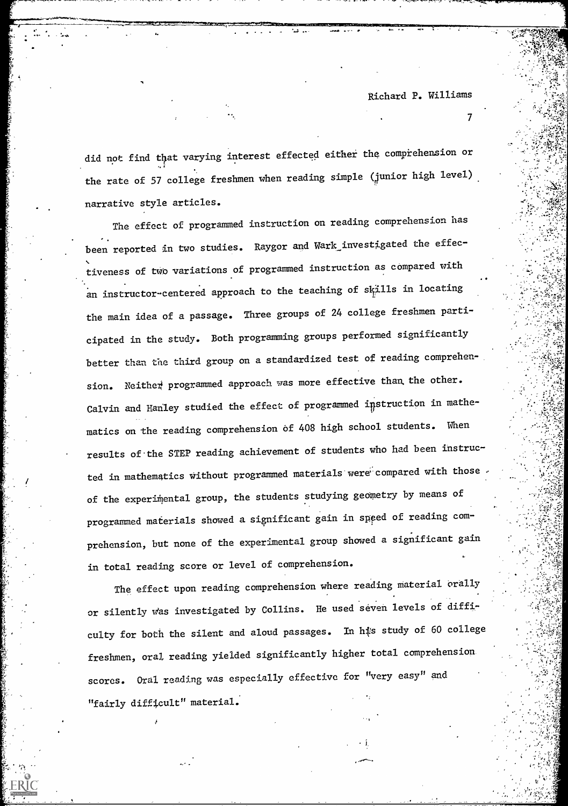7

did not find that varying interest effected either the comprehension or the rate of 57 college freshmen when reading simple (junior high level) narrative style articles.

The effect of programmed instruction on reading comprehension has been reported in two studies. Raygor and Wark investigated the effec-, tiveness of two variations of programmed instruction as compared with  $\blacksquare$ an instructor-centered approach to the teaching of skills in locating the main idea of a passage. Three groups of 24 college freshmen participated in the study. Both programming groups performed significantly better than the third group on a standardized test of reading comprehension. Neither programmed approach was more effective than the other. Calvin and Hanley studied the effect of programmed instruction in mathematics on the reading comprehension of 408 high school students. When results of-the STEP reading achievement of students who had been instructed in mathematics without programmed materials were compared with those of the experimental group, the students studying geometry by means of programmed materials showed a significant gain in speed of reading comprehension, but none of the experimental group showed a significant gain in total reading score or level of comprehension.

The effect upon reading comprehension where reading material orally or silently was investigated by Collins. He used seven levels of difficulty for both the silent and aloud passages. In his study of 60 college freshmen, oral reading yielded significantly higher total comprehension scores. Oral reading was especially effective for "very easy" and "fairly difficult" material.'

-

\*.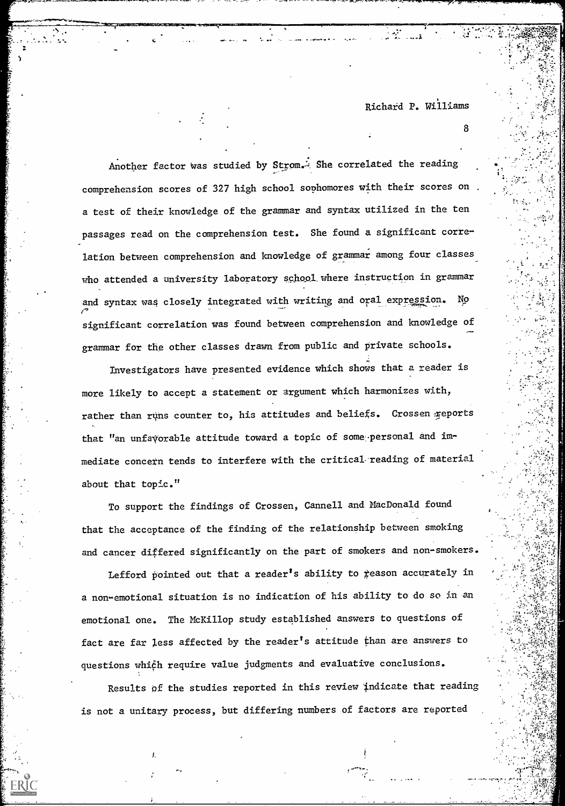8

 $: \mathbb{R}$ 

'

 $\mathcal{I}=\left\{ \begin{matrix} \mathcal{I}_{\mathcal{A}} & \mathcal{I}_{\mathcal{A}} & \mathcal{I}_{\mathcal{A}} & \mathcal{I}_{\mathcal{A}} \end{matrix} \right\}$ 

 $\mathcal{L}=\mathcal{L}$ 

Another factor was studied by Strom.<sup>2</sup> She correlated the reading comprehension scores of 327 high school sophomores with their scores on . a test of their knowledge of the grammar and syntax utilized in the ten passages read on the comprehension test. She found a significant correlation between comprehension and knowledge of grammar among four classes who attended a university laboratory school where instruction in grammar and syntax was closely integrated with writing and oral expression. No significant correlation was found between comprehension and knowledge of grammar for the other classes drawn from public and private schools.

1 ...lama a -5

Investigators have presented evidence which shows that a reader is more likely to accept a statement or argument which harmonizes with, rather than runs counter to, his attitudes and beliefs. Crossen reports that "an unfavorable attitude toward a topic of some personal and immediate concern tends to interfere with the critical. reading of material about that topic."

To support the findings of Crossen, Cannell and MacDonald found that the acceptance of the finding of the relationship between smoking and cancer differed significantly on the part of smokers and non-smokers.

Lefford pointed out that a reader's ability to reason accurately in a non-emotional situation is no indication of his ability to do so in an emotional one. The McKillop study established answers to questions of fact are far less affected by the reader's attitude than are answers to questions which require value judgments and evaluative conclusions.

Results of the studies reported in this review indicate that re is not a unitary process, but differing numbers of factors are reported

I.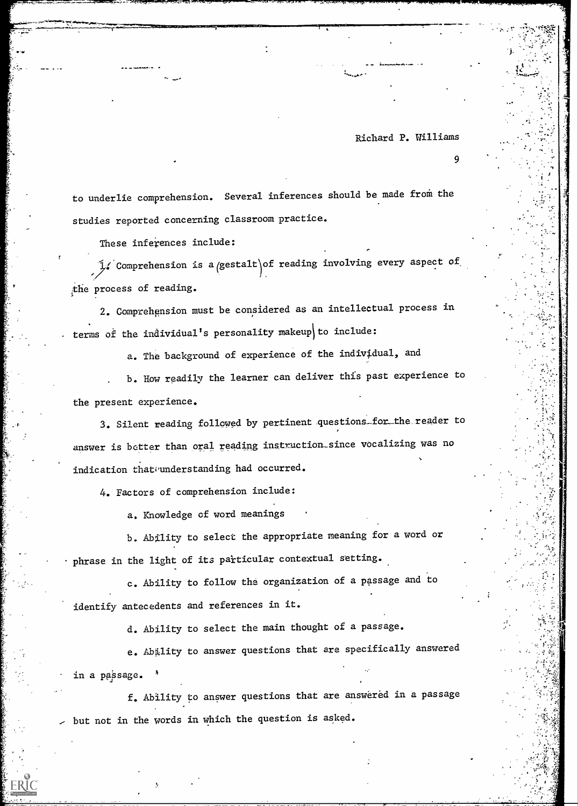9

r

to underlie comprehension. Several inferences should be made from the studies reported concerning classroom practice.

These inferences include:

 $\mathcal{I}_i$  Comprehension is a gestalt of reading involving every aspect of the process of reading.

2. Comprehension must be considered as an intellectual process in terms of the individual's personality makeup to include:

a. The background of experience of the individual, and

b. How readily the learner can deliver this past experience to the present experience.

3. Silent reading followed by pertinent questions\_for\_the reader to answer is better than oral reading instruction\_since vocalizing was no indication that understanding had occurred.

4. Factors of comprehension include:

a. Knowledge of word meanings

b. Ability to select the appropriate meaning for a word or phrase in the light of its particular contextual setting.

c. Ability to follow the organization of a passage and to identify antecedents and references in it.

d. Ability to select the main thought of a passage.

e. Ability to answer questions that are specifically answered in a passage.

f. Ability to answer questions that are answered in a passage <sup>f</sup>  $>$  but not in the words in which the question is asked.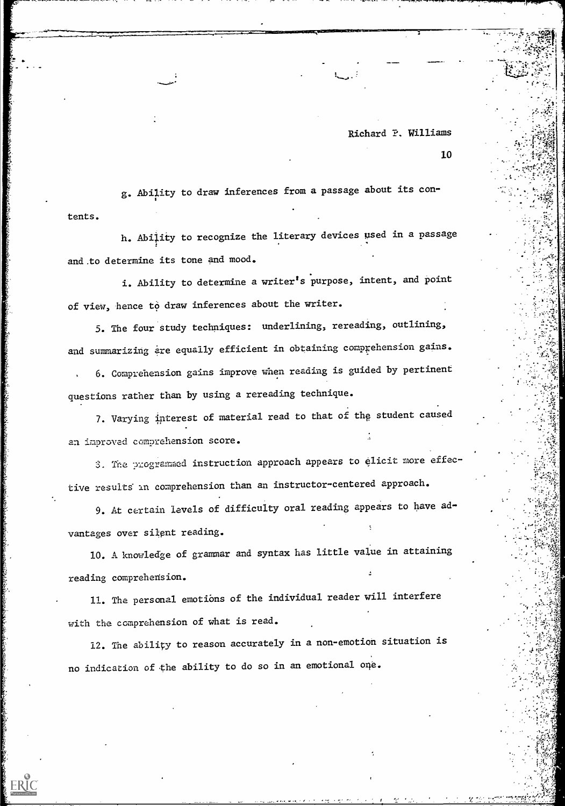10

tents. g. Ability to draw inferences from a passage about its con- ,

h. Ability to recognize the literary devices used in a passage and.to determine its tone and mood.

i. Ability to determine a writer's purpose, intent, and point of view, hence to draw inferences about the writer.

5. The four study techniques: underlining, rereading, outlining, and summarizing are equally efficient in obtaining comprehension gains. 6. Comprehension gains improve when reading is guided by pertinent questions rather than by using a rereading technique.

7. Varying interest of material read to that of the student caused an improved comprehension score.

3. The programmed instruction approach appears to elicit more effective results in comprehension than an instructor-centered approach.

9. At certain levels of difficulty oral reading appears to have advantages over silent reading.

10. A. knowledge of grammar and syntax has little value in attaining reading comprehension.

11. The personal emotions of the individual reader will interfere with the comprehension of what is read.

12. The ability to reason accurately in a non-emotion situation is no indication of the ability to do so in an emotional one.

ERIC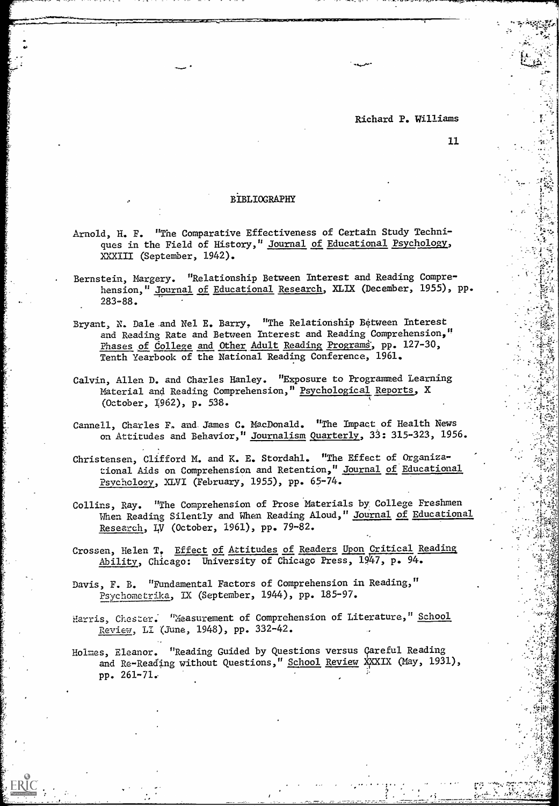. . . . .

### BIBLIOGRAPHY

-..

- Arnold, H. F. "The Comparative Effectiveness of Certain Study Techniques in the Field of History," Journal of Educational Psychology, XXXIII (September, 1942).
- Bernstein, Margery. "Relationship Between Interest and Reading Comprehension," Journal of Educational Research, XLIX (December, 1955), pp. 283-88.
- Bryant, N. Dale and Nel E. Barry. "The Relationship Between Interest and Reading Rate and Between Interest and Reading Comprehension," Phases of College and Other Adult Reading Programs, pp. 127-30, Tenth Yearbook of the National Reading Conference, 1961.
- Calvin, Allen D. and Charles Hanley. "Exposure to Programmed Learning Material and Reading Comprehension," Psychological Reports, X (October, 1962), p. 538.
- Cannell, Charles F, and. James C. MacDonald. "The Impact of Health News on Attitudes and Behavior," Journalism Quarterly, 33: 315-323, 1956.
- Christensen, Clifford M. and K. E. Stordahl. "The Effect of Organizational Aids on Comprehension and Retention," Journal of Educational Psychology., XLVI (February, 1955), pp. 65-74.
- Collins, Ray. "The Comprehension of Prose Materials by College Freshmen When Reading Silently and When Reading Aloud," Journal of Educational Research, LV (October, 1961), pp. 79-82.
- Crossen, Helen T. Effect of Attitudes of Readers Upon Critical Reading Ability, Chicago: University of Chicago Press, 1947, p. 94.
- Davis, F. B. "Fundamental Factors of Comprehension in Reading," Psychometrika, IX (September, 1944), pp. 185-97.
- Harris, Chester. "Measurement of Comprehension of Literature," School Review, Li (June, 1948), pp. 332-42.
- Holmes, Eleanor. "Reading Guided by Questions versus Careful Reading and Re-Reading without Questions," School Review XXXIX (May, 1931), pp. 261-71: